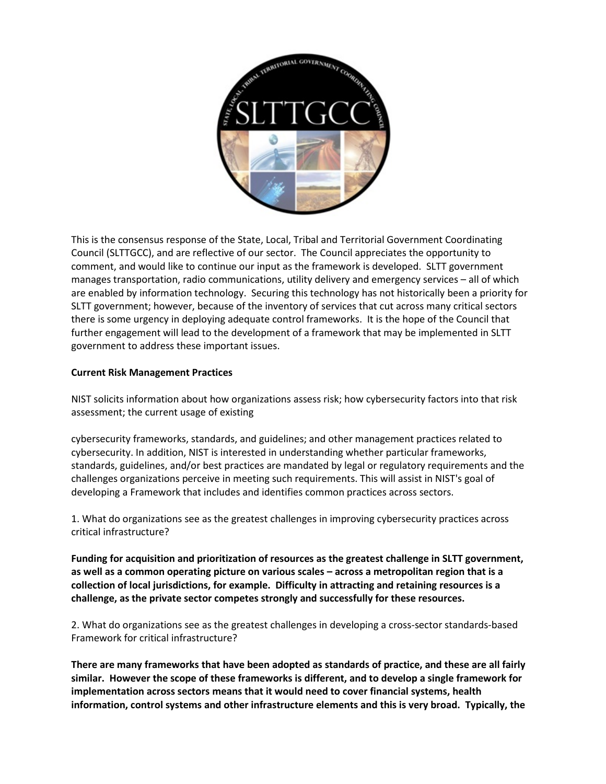

This is the consensus response of the State, Local, Tribal and Territorial Government Coordinating Council (SLTTGCC), and are reflective of our sector. The Council appreciates the opportunity to comment, and would like to continue our input as the framework is developed. SLTT government manages transportation, radio communications, utility delivery and emergency services – all of which are enabled by information technology. Securing this technology has not historically been a priority for SLTT government; however, because of the inventory of services that cut across many critical sectors there is some urgency in deploying adequate control frameworks. It is the hope of the Council that further engagement will lead to the development of a framework that may be implemented in SLTT government to address these important issues.

# **Current Risk Management Practices**

NIST solicits information about how organizations assess risk; how cybersecurity factors into that risk assessment; the current usage of existing

cybersecurity frameworks, standards, and guidelines; and other management practices related to cybersecurity. In addition, NIST is interested in understanding whether particular frameworks, standards, guidelines, and/or best practices are mandated by legal or regulatory requirements and the challenges organizations perceive in meeting such requirements. This will assist in NIST's goal of developing a Framework that includes and identifies common practices across sectors.

1. What do organizations see as the greatest challenges in improving cybersecurity practices across critical infrastructure?

**Funding for acquisition and prioritization of resources as the greatest challenge in SLTT government, as well as a common operating picture on various scales – across a metropolitan region that is a collection of local jurisdictions, for example. Difficulty in attracting and retaining resources is a challenge, as the private sector competes strongly and successfully for these resources.**

2. What do organizations see as the greatest challenges in developing a cross-sector standards-based Framework for critical infrastructure?

**There are many frameworks that have been adopted as standards of practice, and these are all fairly similar. However the scope of these frameworks is different, and to develop a single framework for implementation across sectors means that it would need to cover financial systems, health information, control systems and other infrastructure elements and this is very broad. Typically, the**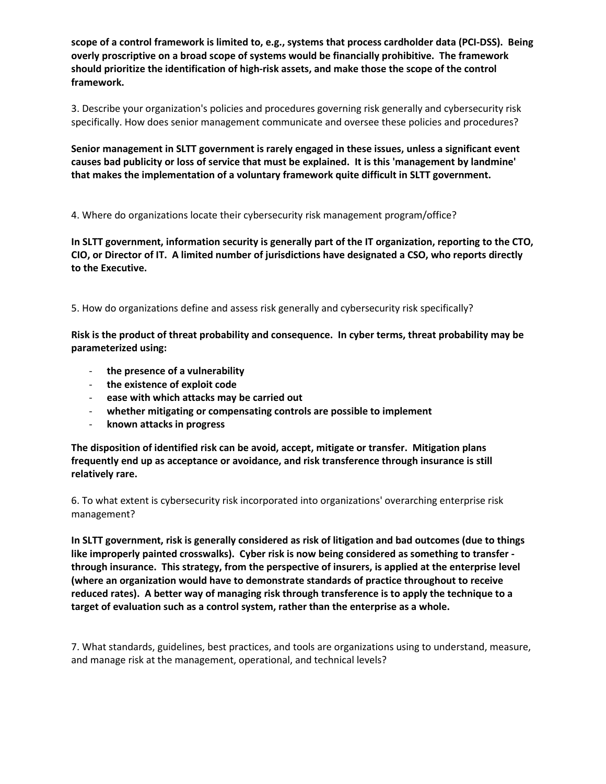**scope of a control framework is limited to, e.g., systems that process cardholder data (PCI-DSS). Being overly proscriptive on a broad scope of systems would be financially prohibitive. The framework should prioritize the identification of high-risk assets, and make those the scope of the control framework.**

3. Describe your organization's policies and procedures governing risk generally and cybersecurity risk specifically. How does senior management communicate and oversee these policies and procedures?

**Senior management in SLTT government is rarely engaged in these issues, unless a significant event causes bad publicity or loss of service that must be explained. It is this 'management by landmine' that makes the implementation of a voluntary framework quite difficult in SLTT government.**

4. Where do organizations locate their cybersecurity risk management program/office?

**In SLTT government, information security is generally part of the IT organization, reporting to the CTO, CIO, or Director of IT. A limited number of jurisdictions have designated a CSO, who reports directly to the Executive.**

5. How do organizations define and assess risk generally and cybersecurity risk specifically?

**Risk is the product of threat probability and consequence. In cyber terms, threat probability may be parameterized using:**

- **the presence of a vulnerability**
- **the existence of exploit code**
- **ease with which attacks may be carried out**
- **whether mitigating or compensating controls are possible to implement**
- **known attacks in progress**

**The disposition of identified risk can be avoid, accept, mitigate or transfer. Mitigation plans frequently end up as acceptance or avoidance, and risk transference through insurance is still relatively rare.**

6. To what extent is cybersecurity risk incorporated into organizations' overarching enterprise risk management?

**In SLTT government, risk is generally considered as risk of litigation and bad outcomes (due to things like improperly painted crosswalks). Cyber risk is now being considered as something to transfer through insurance. This strategy, from the perspective of insurers, is applied at the enterprise level (where an organization would have to demonstrate standards of practice throughout to receive reduced rates). A better way of managing risk through transference is to apply the technique to a target of evaluation such as a control system, rather than the enterprise as a whole.**

7. What standards, guidelines, best practices, and tools are organizations using to understand, measure, and manage risk at the management, operational, and technical levels?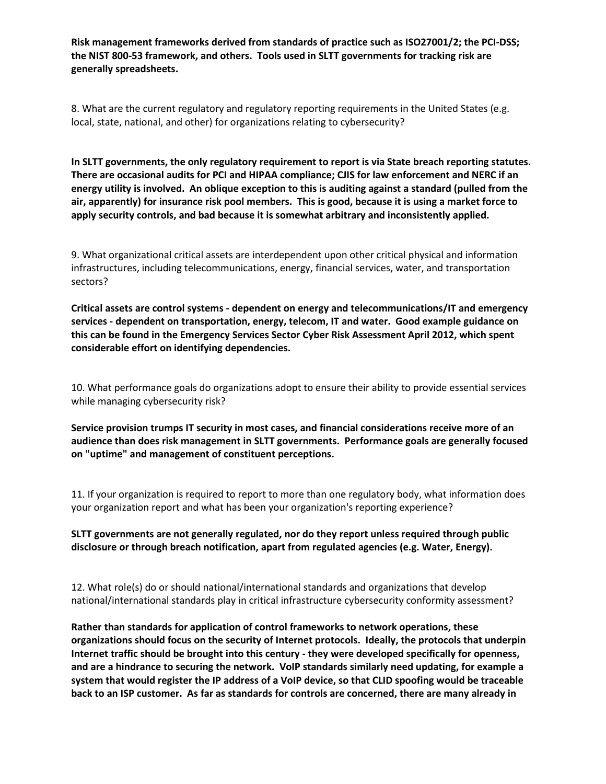**Risk management frameworks derived from standards of practice such as ISO27001/2; the PCI-DSS; the NIST 800-53 framework, and others. Tools used in SLTT governments for tracking risk are generally spreadsheets.**

8. What are the current regulatory and regulatory reporting requirements in the United States (e.g. local, state, national, and other) for organizations relating to cybersecurity?

**In SLTT governments, the only regulatory requirement to report is via State breach reporting statutes. There are occasional audits for PCI and HIPAA compliance; CJIS for law enforcement and NERC if an energy utility is involved. An oblique exception to this is auditing against a standard (pulled from the air, apparently) for insurance risk pool members. This is good, because it is using a market force to apply security controls, and bad because it is somewhat arbitrary and inconsistently applied.**

9. What organizational critical assets are interdependent upon other critical physical and information infrastructures, including telecommunications, energy, financial services, water, and transportation sectors?

**Critical assets are control systems - dependent on energy and telecommunications/IT and emergency services - dependent on transportation, energy, telecom, IT and water. Good example guidance on this can be found in the Emergency Services Sector Cyber Risk Assessment April 2012, which spent considerable effort on identifying dependencies.**

10. What performance goals do organizations adopt to ensure their ability to provide essential services while managing cybersecurity risk?

**Service provision trumps IT security in most cases, and financial considerations receive more of an audience than does risk management in SLTT governments. Performance goals are generally focused on "uptime" and management of constituent perceptions.**

11. If your organization is required to report to more than one regulatory body, what information does your organization report and what has been your organization's reporting experience?

**SLTT governments are not generally regulated, nor do they report unless required through public disclosure or through breach notification, apart from regulated agencies (e.g. Water, Energy).**

12. What role(s) do or should national/international standards and organizations that develop national/international standards play in critical infrastructure cybersecurity conformity assessment?

**Rather than standards for application of control frameworks to network operations, these organizations should focus on the security of Internet protocols. Ideally, the protocols that underpin Internet traffic should be brought into this century - they were developed specifically for openness, and are a hindrance to securing the network. VoIP standards similarly need updating, for example a system that would register the IP address of a VoIP device, so that CLID spoofing would be traceable back to an ISP customer. As far as standards for controls are concerned, there are many already in**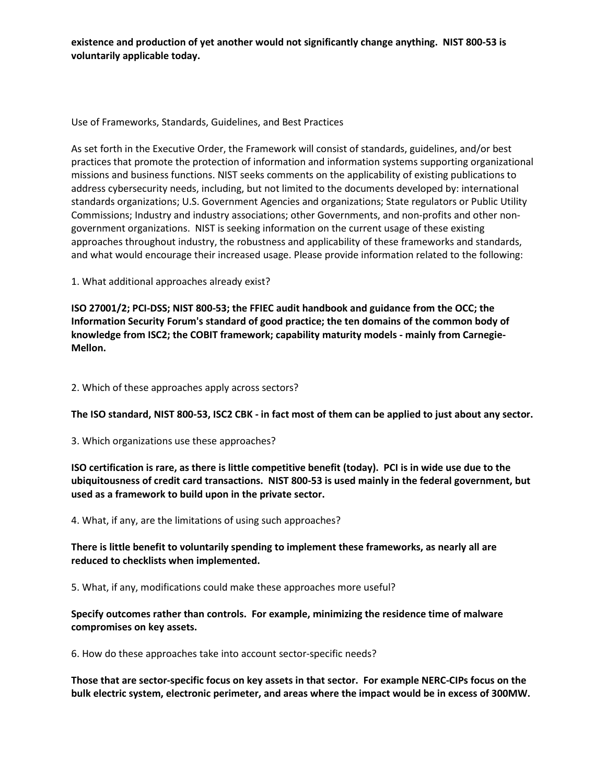**existence and production of yet another would not significantly change anything. NIST 800-53 is voluntarily applicable today.**

Use of Frameworks, Standards, Guidelines, and Best Practices

As set forth in the Executive Order, the Framework will consist of standards, guidelines, and/or best practices that promote the protection of information and information systems supporting organizational missions and business functions. NIST seeks comments on the applicability of existing publications to address cybersecurity needs, including, but not limited to the documents developed by: international standards organizations; U.S. Government Agencies and organizations; State regulators or Public Utility Commissions; Industry and industry associations; other Governments, and non-profits and other nongovernment organizations. NIST is seeking information on the current usage of these existing approaches throughout industry, the robustness and applicability of these frameworks and standards, and what would encourage their increased usage. Please provide information related to the following:

1. What additional approaches already exist?

**ISO 27001/2; PCI-DSS; NIST 800-53; the FFIEC audit handbook and guidance from the OCC; the Information Security Forum's standard of good practice; the ten domains of the common body of knowledge from ISC2; the COBIT framework; capability maturity models - mainly from Carnegie-Mellon.**

2. Which of these approaches apply across sectors?

**The ISO standard, NIST 800-53, ISC2 CBK - in fact most of them can be applied to just about any sector.**

3. Which organizations use these approaches?

**ISO certification is rare, as there is little competitive benefit (today). PCI is in wide use due to the ubiquitousness of credit card transactions. NIST 800-53 is used mainly in the federal government, but used as a framework to build upon in the private sector.**

4. What, if any, are the limitations of using such approaches?

# **There is little benefit to voluntarily spending to implement these frameworks, as nearly all are reduced to checklists when implemented.**

5. What, if any, modifications could make these approaches more useful?

# **Specify outcomes rather than controls. For example, minimizing the residence time of malware compromises on key assets.**

6. How do these approaches take into account sector-specific needs?

**Those that are sector-specific focus on key assets in that sector. For example NERC-CIPs focus on the bulk electric system, electronic perimeter, and areas where the impact would be in excess of 300MW.**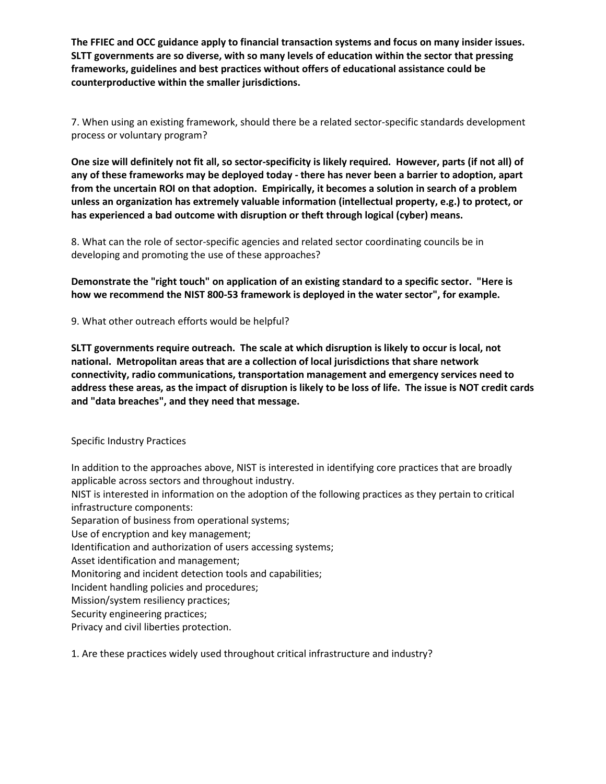**The FFIEC and OCC guidance apply to financial transaction systems and focus on many insider issues. SLTT governments are so diverse, with so many levels of education within the sector that pressing frameworks, guidelines and best practices without offers of educational assistance could be counterproductive within the smaller jurisdictions.** 

7. When using an existing framework, should there be a related sector-specific standards development process or voluntary program?

**One size will definitely not fit all, so sector-specificity is likely required. However, parts (if not all) of any of these frameworks may be deployed today - there has never been a barrier to adoption, apart from the uncertain ROI on that adoption. Empirically, it becomes a solution in search of a problem unless an organization has extremely valuable information (intellectual property, e.g.) to protect, or has experienced a bad outcome with disruption or theft through logical (cyber) means.**

8. What can the role of sector-specific agencies and related sector coordinating councils be in developing and promoting the use of these approaches?

**Demonstrate the "right touch" on application of an existing standard to a specific sector. "Here is how we recommend the NIST 800-53 framework is deployed in the water sector", for example.**

9. What other outreach efforts would be helpful?

**SLTT governments require outreach. The scale at which disruption is likely to occur is local, not national. Metropolitan areas that are a collection of local jurisdictions that share network connectivity, radio communications, transportation management and emergency services need to address these areas, as the impact of disruption is likely to be loss of life. The issue is NOT credit cards and "data breaches", and they need that message.**

Specific Industry Practices

In addition to the approaches above, NIST is interested in identifying core practices that are broadly applicable across sectors and throughout industry.

NIST is interested in information on the adoption of the following practices as they pertain to critical infrastructure components:

Separation of business from operational systems;

Use of encryption and key management;

Identification and authorization of users accessing systems;

Asset identification and management;

Monitoring and incident detection tools and capabilities;

Incident handling policies and procedures;

Mission/system resiliency practices;

Security engineering practices;

Privacy and civil liberties protection.

1. Are these practices widely used throughout critical infrastructure and industry?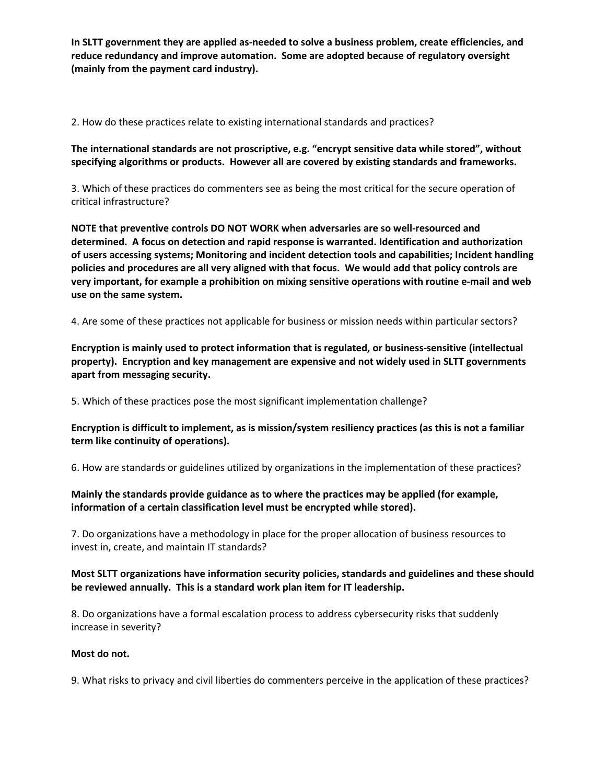**In SLTT government they are applied as-needed to solve a business problem, create efficiencies, and reduce redundancy and improve automation. Some are adopted because of regulatory oversight (mainly from the payment card industry).**

2. How do these practices relate to existing international standards and practices?

**The international standards are not proscriptive, e.g. "encrypt sensitive data while stored", without specifying algorithms or products. However all are covered by existing standards and frameworks.**

3. Which of these practices do commenters see as being the most critical for the secure operation of critical infrastructure?

**NOTE that preventive controls DO NOT WORK when adversaries are so well-resourced and determined. A focus on detection and rapid response is warranted. Identification and authorization of users accessing systems; Monitoring and incident detection tools and capabilities; Incident handling policies and procedures are all very aligned with that focus. We would add that policy controls are very important, for example a prohibition on mixing sensitive operations with routine e-mail and web use on the same system.**

4. Are some of these practices not applicable for business or mission needs within particular sectors?

**Encryption is mainly used to protect information that is regulated, or business-sensitive (intellectual property). Encryption and key management are expensive and not widely used in SLTT governments apart from messaging security.**

5. Which of these practices pose the most significant implementation challenge?

**Encryption is difficult to implement, as is mission/system resiliency practices (as this is not a familiar term like continuity of operations).**

6. How are standards or guidelines utilized by organizations in the implementation of these practices?

**Mainly the standards provide guidance as to where the practices may be applied (for example, information of a certain classification level must be encrypted while stored).**

7. Do organizations have a methodology in place for the proper allocation of business resources to invest in, create, and maintain IT standards?

# **Most SLTT organizations have information security policies, standards and guidelines and these should be reviewed annually. This is a standard work plan item for IT leadership.**

8. Do organizations have a formal escalation process to address cybersecurity risks that suddenly increase in severity?

#### **Most do not.**

9. What risks to privacy and civil liberties do commenters perceive in the application of these practices?